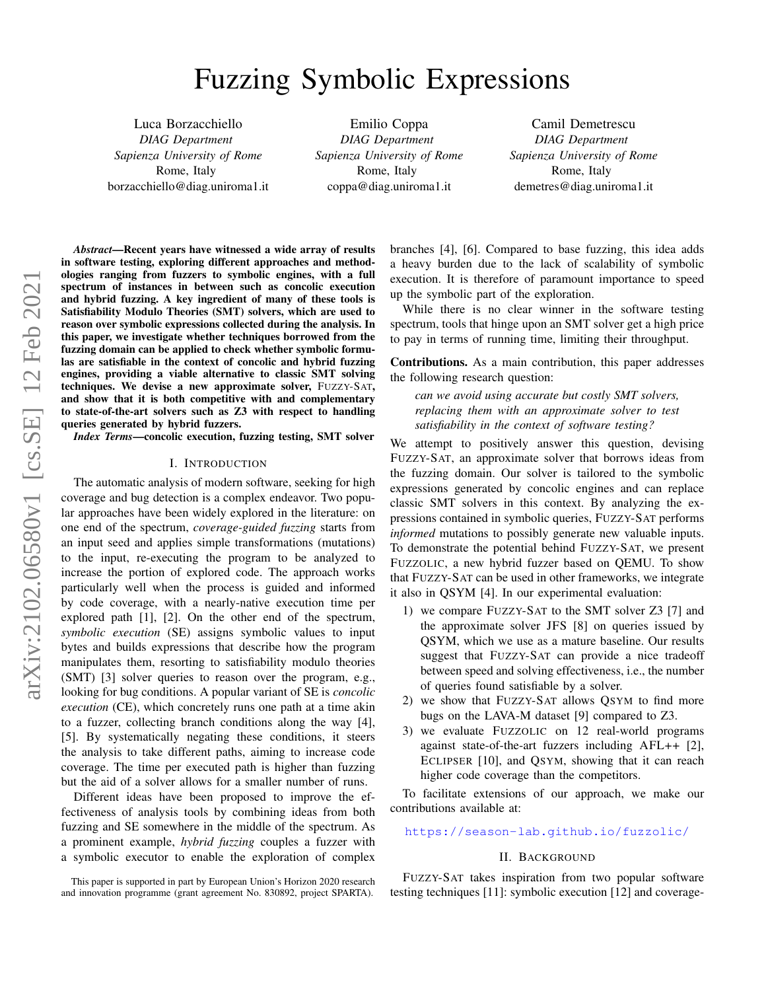# Fuzzing Symbolic Expressions

<span id="page-0-1"></span>Luca Borzacchiello *DIAG Department Sapienza University of Rome* Rome, Italy borzacchiello@diag.uniroma1.it

Emilio Coppa *DIAG Department Sapienza University of Rome* Rome, Italy coppa@diag.uniroma1.it

Camil Demetrescu *DIAG Department Sapienza University of Rome* Rome, Italy demetres@diag.uniroma1.it

*Abstract*—Recent years have witnessed a wide array of results in software testing, exploring different approaches and methodologies ranging from fuzzers to symbolic engines, with a full spectrum of instances in between such as concolic execution and hybrid fuzzing. A key ingredient of many of these tools is Satisfiability Modulo Theories (SMT) solvers, which are used to reason over symbolic expressions collected during the analysis. In this paper, we investigate whether techniques borrowed from the fuzzing domain can be applied to check whether symbolic formulas are satisfiable in the context of concolic and hybrid fuzzing engines, providing a viable alternative to classic SMT solving techniques. We devise a new approximate solver, FUZZY-SAT, and show that it is both competitive with and complementary to state-of-the-art solvers such as Z3 with respect to handling queries generated by hybrid fuzzers.

*Index Terms*—concolic execution, fuzzing testing, SMT solver

#### I. INTRODUCTION

The automatic analysis of modern software, seeking for high coverage and bug detection is a complex endeavor. Two popular approaches have been widely explored in the literature: on one end of the spectrum, *coverage-guided fuzzing* starts from an input seed and applies simple transformations (mutations) to the input, re-executing the program to be analyzed to increase the portion of explored code. The approach works particularly well when the process is guided and informed by code coverage, with a nearly-native execution time per explored path [\[1\]](#page-10-0), [\[2\]](#page-10-1). On the other end of the spectrum, *symbolic execution* (SE) assigns symbolic values to input bytes and builds expressions that describe how the program manipulates them, resorting to satisfiability modulo theories (SMT) [\[3\]](#page-10-2) solver queries to reason over the program, e.g., looking for bug conditions. A popular variant of SE is *concolic execution* (CE), which concretely runs one path at a time akin to a fuzzer, collecting branch conditions along the way [\[4\]](#page-10-3), [\[5\]](#page-10-4). By systematically negating these conditions, it steers the analysis to take different paths, aiming to increase code coverage. The time per executed path is higher than fuzzing but the aid of a solver allows for a smaller number of runs.

Different ideas have been proposed to improve the effectiveness of analysis tools by combining ideas from both fuzzing and SE somewhere in the middle of the spectrum. As a prominent example, *hybrid fuzzing* couples a fuzzer with a symbolic executor to enable the exploration of complex branches [\[4\]](#page-10-3), [\[6\]](#page-10-5). Compared to base fuzzing, this idea adds a heavy burden due to the lack of scalability of symbolic execution. It is therefore of paramount importance to speed up the symbolic part of the exploration.

While there is no clear winner in the software testing spectrum, tools that hinge upon an SMT solver get a high price to pay in terms of running time, limiting their throughput.

Contributions. As a main contribution, this paper addresses the following research question:

*can we avoid using accurate but costly SMT solvers, replacing them with an approximate solver to test satisfiability in the context of software testing?*

We attempt to positively answer this question, devising FUZZY-SAT, an approximate solver that borrows ideas from the fuzzing domain. Our solver is tailored to the symbolic expressions generated by concolic engines and can replace classic SMT solvers in this context. By analyzing the expressions contained in symbolic queries, FUZZY-SAT performs *informed* mutations to possibly generate new valuable inputs. To demonstrate the potential behind FUZZY-SAT, we present FUZZOLIC, a new hybrid fuzzer based on QEMU. To show that FUZZY-SAT can be used in other frameworks, we integrate it also in QSYM [\[4\]](#page-10-3). In our experimental evaluation:

- 1) we compare FUZZY-SAT to the SMT solver Z3 [\[7\]](#page-10-6) and the approximate solver JFS [\[8\]](#page-10-7) on queries issued by QSYM, which we use as a mature baseline. Our results suggest that FUZZY-SAT can provide a nice tradeoff between speed and solving effectiveness, i.e., the number of queries found satisfiable by a solver.
- 2) we show that FUZZY-SAT allows QSYM to find more bugs on the LAVA-M dataset [\[9\]](#page-10-8) compared to Z3.
- 3) we evaluate FUZZOLIC on 12 real-world programs against state-of-the-art fuzzers including AFL++ [\[2\]](#page-10-1), ECLIPSER [\[10\]](#page-10-9), and QSYM, showing that it can reach higher code coverage than the competitors.

To facilitate extensions of our approach, we make our contributions available at:

#### <https://season-lab.github.io/fuzzolic/>

#### II. BACKGROUND

<span id="page-0-0"></span>FUZZY-SAT takes inspiration from two popular software testing techniques [\[11\]](#page-10-10): symbolic execution [\[12\]](#page-10-11) and coverage-

This paper is supported in part by European Union's Horizon 2020 research and innovation programme (grant agreement No. 830892, project SPARTA).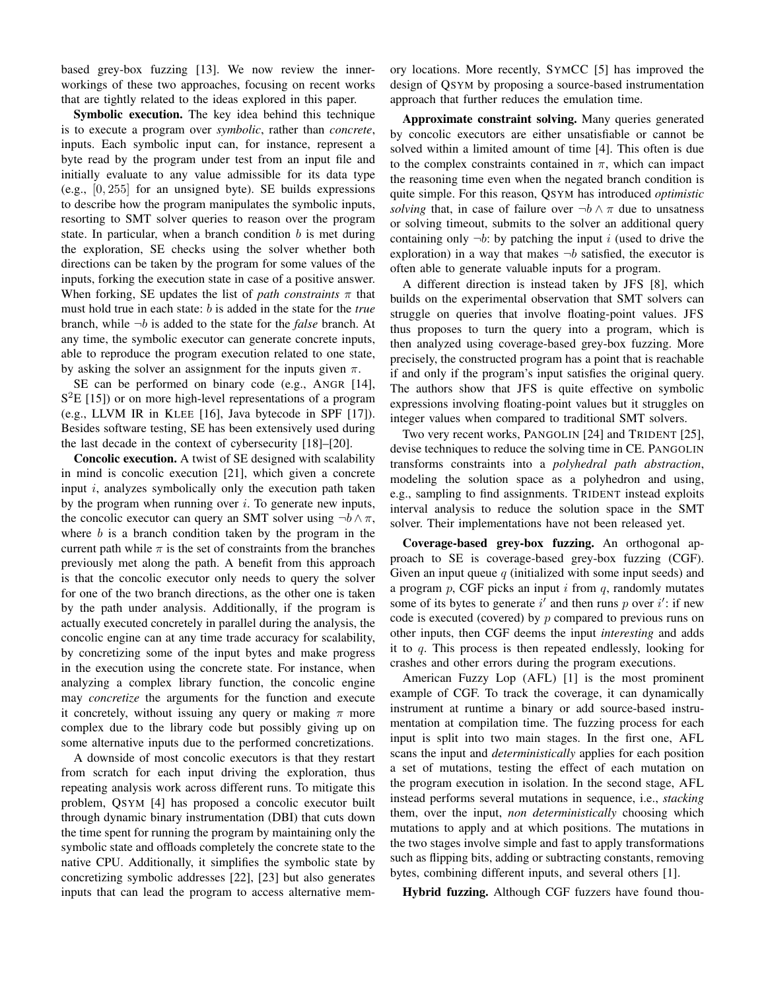based grey-box fuzzing [\[13\]](#page-10-12). We now review the innerworkings of these two approaches, focusing on recent works that are tightly related to the ideas explored in this paper.

Symbolic execution. The key idea behind this technique is to execute a program over *symbolic*, rather than *concrete*, inputs. Each symbolic input can, for instance, represent a byte read by the program under test from an input file and initially evaluate to any value admissible for its data type (e.g., [0, 255] for an unsigned byte). SE builds expressions to describe how the program manipulates the symbolic inputs, resorting to SMT solver queries to reason over the program state. In particular, when a branch condition  $b$  is met during the exploration, SE checks using the solver whether both directions can be taken by the program for some values of the inputs, forking the execution state in case of a positive answer. When forking, SE updates the list of *path constraints*  $\pi$  that must hold true in each state: b is added in the state for the *true* branch, while ¬b is added to the state for the *false* branch. At any time, the symbolic executor can generate concrete inputs, able to reproduce the program execution related to one state, by asking the solver an assignment for the inputs given  $\pi$ .

SE can be performed on binary code (e.g., ANGR [\[14\]](#page-10-13), S<sup>2</sup>E [\[15\]](#page-10-14)) or on more high-level representations of a program (e.g., LLVM IR in KLEE [\[16\]](#page-10-15), Java bytecode in SPF [\[17\]](#page-10-16)). Besides software testing, SE has been extensively used during the last decade in the context of cybersecurity [\[18\]](#page-10-17)–[\[20\]](#page-11-0).

Concolic execution. A twist of SE designed with scalability in mind is concolic execution [\[21\]](#page-11-1), which given a concrete input  $i$ , analyzes symbolically only the execution path taken by the program when running over  $i$ . To generate new inputs, the concolic executor can query an SMT solver using  $\neg b \wedge \pi$ , where  $b$  is a branch condition taken by the program in the current path while  $\pi$  is the set of constraints from the branches previously met along the path. A benefit from this approach is that the concolic executor only needs to query the solver for one of the two branch directions, as the other one is taken by the path under analysis. Additionally, if the program is actually executed concretely in parallel during the analysis, the concolic engine can at any time trade accuracy for scalability, by concretizing some of the input bytes and make progress in the execution using the concrete state. For instance, when analyzing a complex library function, the concolic engine may *concretize* the arguments for the function and execute it concretely, without issuing any query or making  $\pi$  more complex due to the library code but possibly giving up on some alternative inputs due to the performed concretizations.

A downside of most concolic executors is that they restart from scratch for each input driving the exploration, thus repeating analysis work across different runs. To mitigate this problem, QSYM [\[4\]](#page-10-3) has proposed a concolic executor built through dynamic binary instrumentation (DBI) that cuts down the time spent for running the program by maintaining only the symbolic state and offloads completely the concrete state to the native CPU. Additionally, it simplifies the symbolic state by concretizing symbolic addresses [\[22\]](#page-11-2), [\[23\]](#page-11-3) but also generates inputs that can lead the program to access alternative memory locations. More recently, SYMCC [\[5\]](#page-10-4) has improved the design of QSYM by proposing a source-based instrumentation approach that further reduces the emulation time.

Approximate constraint solving. Many queries generated by concolic executors are either unsatisfiable or cannot be solved within a limited amount of time [\[4\]](#page-10-3). This often is due to the complex constraints contained in  $\pi$ , which can impact the reasoning time even when the negated branch condition is quite simple. For this reason, QSYM has introduced *optimistic solving* that, in case of failure over  $\neg b \wedge \pi$  due to unsatness or solving timeout, submits to the solver an additional query containing only  $\neg b$ : by patching the input i (used to drive the exploration) in a way that makes  $\neg b$  satisfied, the executor is often able to generate valuable inputs for a program.

A different direction is instead taken by JFS [\[8\]](#page-10-7), which builds on the experimental observation that SMT solvers can struggle on queries that involve floating-point values. JFS thus proposes to turn the query into a program, which is then analyzed using coverage-based grey-box fuzzing. More precisely, the constructed program has a point that is reachable if and only if the program's input satisfies the original query. The authors show that JFS is quite effective on symbolic expressions involving floating-point values but it struggles on integer values when compared to traditional SMT solvers.

Two very recent works, PANGOLIN [\[24\]](#page-11-4) and TRIDENT [\[25\]](#page-11-5), devise techniques to reduce the solving time in CE. PANGOLIN transforms constraints into a *polyhedral path abstraction*, modeling the solution space as a polyhedron and using, e.g., sampling to find assignments. TRIDENT instead exploits interval analysis to reduce the solution space in the SMT solver. Their implementations have not been released yet.

Coverage-based grey-box fuzzing. An orthogonal approach to SE is coverage-based grey-box fuzzing (CGF). Given an input queue  $q$  (initialized with some input seeds) and a program p, CGF picks an input i from q, randomly mutates some of its bytes to generate  $i'$  and then runs p over  $i'$ : if new code is executed (covered) by  $p$  compared to previous runs on other inputs, then CGF deems the input *interesting* and adds it to q. This process is then repeated endlessly, looking for crashes and other errors during the program executions.

American Fuzzy Lop (AFL) [\[1\]](#page-10-0) is the most prominent example of CGF. To track the coverage, it can dynamically instrument at runtime a binary or add source-based instrumentation at compilation time. The fuzzing process for each input is split into two main stages. In the first one, AFL scans the input and *deterministically* applies for each position a set of mutations, testing the effect of each mutation on the program execution in isolation. In the second stage, AFL instead performs several mutations in sequence, i.e., *stacking* them, over the input, *non deterministically* choosing which mutations to apply and at which positions. The mutations in the two stages involve simple and fast to apply transformations such as flipping bits, adding or subtracting constants, removing bytes, combining different inputs, and several others [\[1\]](#page-10-0).

Hybrid fuzzing. Although CGF fuzzers have found thou-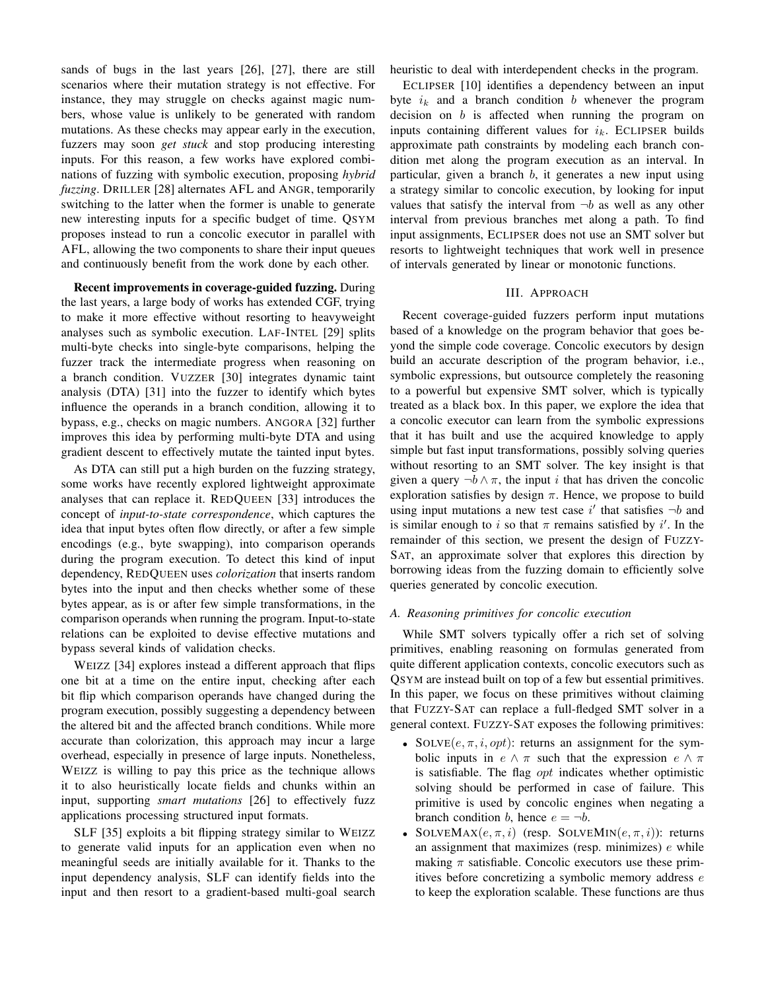sands of bugs in the last years [\[26\]](#page-11-6), [\[27\]](#page-11-7), there are still scenarios where their mutation strategy is not effective. For instance, they may struggle on checks against magic numbers, whose value is unlikely to be generated with random mutations. As these checks may appear early in the execution, fuzzers may soon *get stuck* and stop producing interesting inputs. For this reason, a few works have explored combinations of fuzzing with symbolic execution, proposing *hybrid fuzzing*. DRILLER [\[28\]](#page-11-8) alternates AFL and ANGR, temporarily switching to the latter when the former is unable to generate new interesting inputs for a specific budget of time. QSYM proposes instead to run a concolic executor in parallel with AFL, allowing the two components to share their input queues and continuously benefit from the work done by each other.

Recent improvements in coverage-guided fuzzing. During the last years, a large body of works has extended CGF, trying to make it more effective without resorting to heavyweight analyses such as symbolic execution. LAF-INTEL [\[29\]](#page-11-9) splits multi-byte checks into single-byte comparisons, helping the fuzzer track the intermediate progress when reasoning on a branch condition. VUZZER [\[30\]](#page-11-10) integrates dynamic taint analysis (DTA) [\[31\]](#page-11-11) into the fuzzer to identify which bytes influence the operands in a branch condition, allowing it to bypass, e.g., checks on magic numbers. ANGORA [\[32\]](#page-11-12) further improves this idea by performing multi-byte DTA and using gradient descent to effectively mutate the tainted input bytes.

As DTA can still put a high burden on the fuzzing strategy, some works have recently explored lightweight approximate analyses that can replace it. REDQUEEN [\[33\]](#page-11-13) introduces the concept of *input-to-state correspondence*, which captures the idea that input bytes often flow directly, or after a few simple encodings (e.g., byte swapping), into comparison operands during the program execution. To detect this kind of input dependency, REDQUEEN uses *colorization* that inserts random bytes into the input and then checks whether some of these bytes appear, as is or after few simple transformations, in the comparison operands when running the program. Input-to-state relations can be exploited to devise effective mutations and bypass several kinds of validation checks.

WEIZZ [\[34\]](#page-11-14) explores instead a different approach that flips one bit at a time on the entire input, checking after each bit flip which comparison operands have changed during the program execution, possibly suggesting a dependency between the altered bit and the affected branch conditions. While more accurate than colorization, this approach may incur a large overhead, especially in presence of large inputs. Nonetheless, WEIZZ is willing to pay this price as the technique allows it to also heuristically locate fields and chunks within an input, supporting *smart mutations* [\[26\]](#page-11-6) to effectively fuzz applications processing structured input formats.

SLF [\[35\]](#page-11-15) exploits a bit flipping strategy similar to WEIZZ to generate valid inputs for an application even when no meaningful seeds are initially available for it. Thanks to the input dependency analysis, SLF can identify fields into the input and then resort to a gradient-based multi-goal search heuristic to deal with interdependent checks in the program.

ECLIPSER [\[10\]](#page-10-9) identifies a dependency between an input byte  $i_k$  and a branch condition b whenever the program decision on  $b$  is affected when running the program on inputs containing different values for  $i_k$ . ECLIPSER builds approximate path constraints by modeling each branch condition met along the program execution as an interval. In particular, given a branch b, it generates a new input using a strategy similar to concolic execution, by looking for input values that satisfy the interval from  $\neg b$  as well as any other interval from previous branches met along a path. To find input assignments, ECLIPSER does not use an SMT solver but resorts to lightweight techniques that work well in presence of intervals generated by linear or monotonic functions.

#### III. APPROACH

Recent coverage-guided fuzzers perform input mutations based of a knowledge on the program behavior that goes beyond the simple code coverage. Concolic executors by design build an accurate description of the program behavior, i.e., symbolic expressions, but outsource completely the reasoning to a powerful but expensive SMT solver, which is typically treated as a black box. In this paper, we explore the idea that a concolic executor can learn from the symbolic expressions that it has built and use the acquired knowledge to apply simple but fast input transformations, possibly solving queries without resorting to an SMT solver. The key insight is that given a query  $\neg b \land \pi$ , the input *i* that has driven the concolic exploration satisfies by design  $\pi$ . Hence, we propose to build using input mutations a new test case i' that satisfies  $\neg b$  and is similar enough to i so that  $\pi$  remains satisfied by i'. In the remainder of this section, we present the design of FUZZY-SAT, an approximate solver that explores this direction by borrowing ideas from the fuzzing domain to efficiently solve queries generated by concolic execution.

#### <span id="page-2-0"></span>*A. Reasoning primitives for concolic execution*

While SMT solvers typically offer a rich set of solving primitives, enabling reasoning on formulas generated from quite different application contexts, concolic executors such as QSYM are instead built on top of a few but essential primitives. In this paper, we focus on these primitives without claiming that FUZZY-SAT can replace a full-fledged SMT solver in a general context. FUZZY-SAT exposes the following primitives:

- SOLVE $(e, \pi, i, opt)$ : returns an assignment for the symbolic inputs in  $e \wedge \pi$  such that the expression  $e \wedge \pi$ is satisfiable. The flag *opt* indicates whether optimistic solving should be performed in case of failure. This primitive is used by concolic engines when negating a branch condition b, hence  $e = \neg b$ .
- SOLVEMAX $(e, \pi, i)$  (resp. SOLVEMIN $(e, \pi, i)$ ): returns an assignment that maximizes (resp. minimizes)  $e$  while making  $\pi$  satisfiable. Concolic executors use these primitives before concretizing a symbolic memory address e to keep the exploration scalable. These functions are thus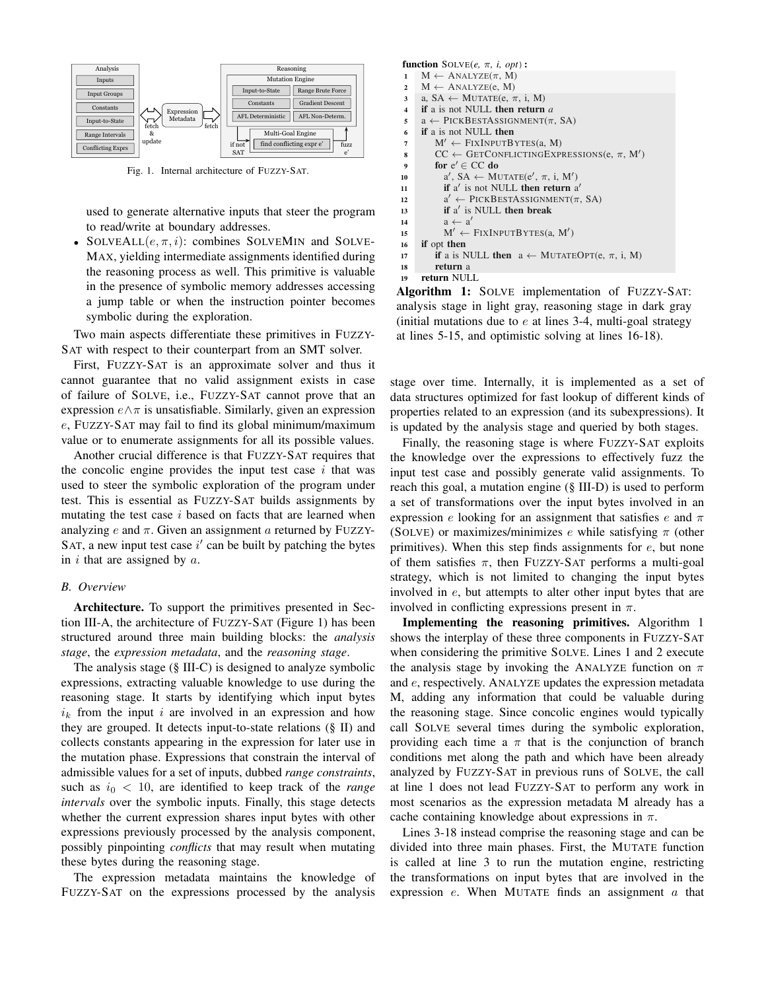

<span id="page-3-0"></span>Fig. 1. Internal architecture of FUZZY-SAT.

used to generate alternative inputs that steer the program to read/write at boundary addresses.

• SOLVEALL $(e, \pi, i)$ : combines SOLVEMIN and SOLVE-MAX, yielding intermediate assignments identified during the reasoning process as well. This primitive is valuable in the presence of symbolic memory addresses accessing a jump table or when the instruction pointer becomes symbolic during the exploration.

Two main aspects differentiate these primitives in FUZZY-SAT with respect to their counterpart from an SMT solver.

First, FUZZY-SAT is an approximate solver and thus it cannot guarantee that no valid assignment exists in case of failure of SOLVE, i.e., FUZZY-SAT cannot prove that an expression  $e \wedge \pi$  is unsatisfiable. Similarly, given an expression e, FUZZY-SAT may fail to find its global minimum/maximum value or to enumerate assignments for all its possible values.

Another crucial difference is that FUZZY-SAT requires that the concolic engine provides the input test case  $i$  that was used to steer the symbolic exploration of the program under test. This is essential as FUZZY-SAT builds assignments by mutating the test case  $i$  based on facts that are learned when analyzing  $e$  and  $\pi$ . Given an assignment a returned by FUZZY-SAT, a new input test case  $i'$  can be built by patching the bytes in  $i$  that are assigned by  $a$ .

#### <span id="page-3-2"></span>*B. Overview*

Architecture. To support the primitives presented in Section [III-A,](#page-2-0) the architecture of FUZZY-SAT (Figure [1\)](#page-3-0) has been structured around three main building blocks: the *analysis stage*, the *expression metadata*, and the *reasoning stage*.

The analysis stage (§ [III-C\)](#page-4-0) is designed to analyze symbolic expressions, extracting valuable knowledge to use during the reasoning stage. It starts by identifying which input bytes  $i_k$  from the input i are involved in an expression and how they are grouped. It detects input-to-state relations (§ [II\)](#page-0-0) and collects constants appearing in the expression for later use in the mutation phase. Expressions that constrain the interval of admissible values for a set of inputs, dubbed *range constraints*, such as  $i_0 < 10$ , are identified to keep track of the *range intervals* over the symbolic inputs. Finally, this stage detects whether the current expression shares input bytes with other expressions previously processed by the analysis component, possibly pinpointing *conflicts* that may result when mutating these bytes during the reasoning stage.

The expression metadata maintains the knowledge of FUZZY-SAT on the expressions processed by the analysis

```
function SOLVE(e, \pi, i, opt):
1 \quad M \leftarrow \text{ANALYZE}(\pi, M)2 M \leftarrow ANALYZE(e, M)
3 a, SA \leftarrow MUTATE(e, \pi, i, M)4 if a is not NULL then return a
5 a \leftarrow PICKBESTASSIGNMENT(\pi, SA)
6 if a is not NULL then
7 M' \leftarrow FIXINPUTBYTES(a, M)
 8 CC \leftarrow GETCONFLICTING EXPRESSIONS(e, \pi, M')
 9 for e' \in CC do
10 a', SA \leftarrow MUTATE(e', \pi, i, M')11 if a' is not NULL then return a'12 a' \leftarrow PICKBESTASSIGNMENT(\pi, SA)
13 if a' is NULL then break
14 a \leftarrow a'15 M' \leftarrow FIXINPUTBYTES(a, M')
16 if opt then
17 if a is NULL then a \leftarrow MUTATEOPT(e, \pi, i, M)
18 return a
19 return NULL
```
<span id="page-3-1"></span>Algorithm 1: SOLVE implementation of FUZZY-SAT: analysis stage in light gray, reasoning stage in dark gray (initial mutations due to  $e$  at lines 3-4, multi-goal strategy at lines 5-15, and optimistic solving at lines 16-18).

stage over time. Internally, it is implemented as a set of data structures optimized for fast lookup of different kinds of properties related to an expression (and its subexpressions). It is updated by the analysis stage and queried by both stages.

Finally, the reasoning stage is where FUZZY-SAT exploits the knowledge over the expressions to effectively fuzz the input test case and possibly generate valid assignments. To reach this goal, a mutation engine (§ [III-D\)](#page-5-0) is used to perform a set of transformations over the input bytes involved in an expression e looking for an assignment that satisfies e and  $\pi$ (SOLVE) or maximizes/minimizes e while satisfying  $\pi$  (other primitives). When this step finds assignments for  $e$ , but none of them satisfies  $\pi$ , then FUZZY-SAT performs a multi-goal strategy, which is not limited to changing the input bytes involved in  $e$ , but attempts to alter other input bytes that are involved in conflicting expressions present in  $\pi$ .

Implementing the reasoning primitives. Algorithm [1](#page-3-1) shows the interplay of these three components in FUZZY-SAT when considering the primitive SOLVE. Lines 1 and 2 execute the analysis stage by invoking the ANALYZE function on  $\pi$ and e, respectively. ANALYZE updates the expression metadata M, adding any information that could be valuable during the reasoning stage. Since concolic engines would typically call SOLVE several times during the symbolic exploration, providing each time a  $\pi$  that is the conjunction of branch conditions met along the path and which have been already analyzed by FUZZY-SAT in previous runs of SOLVE, the call at line 1 does not lead FUZZY-SAT to perform any work in most scenarios as the expression metadata M already has a cache containing knowledge about expressions in  $\pi$ .

Lines 3-18 instead comprise the reasoning stage and can be divided into three main phases. First, the MUTATE function is called at line 3 to run the mutation engine, restricting the transformations on input bytes that are involved in the expression e. When MUTATE finds an assignment a that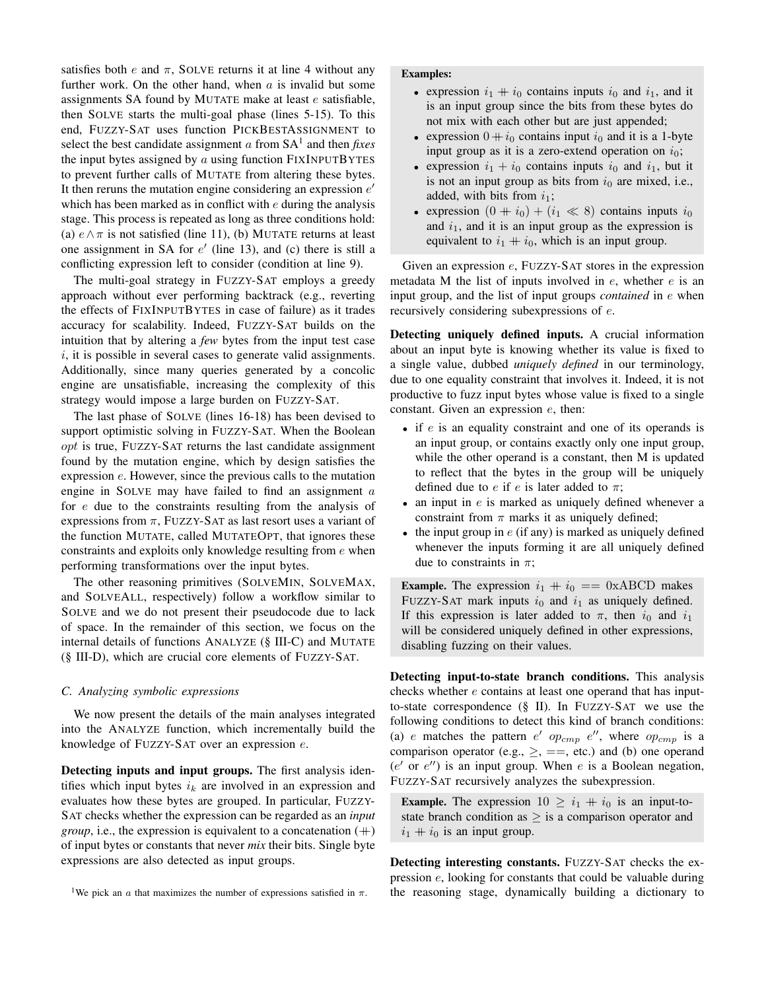satisfies both e and  $\pi$ , SOLVE returns it at line 4 without any further work. On the other hand, when  $a$  is invalid but some assignments SA found by MUTATE make at least e satisfiable, then SOLVE starts the multi-goal phase (lines 5-15). To this end, FUZZY-SAT uses function PICKBESTASSIGNMENT to select the best candidate assignment  $a$  from  $SA<sup>1</sup>$  $SA<sup>1</sup>$  $SA<sup>1</sup>$  and then *fixes* the input bytes assigned by  $a$  using function  $FixINPUTBYTES$ to prevent further calls of MUTATE from altering these bytes. It then reruns the mutation engine considering an expression  $e'$ which has been marked as in conflict with  $e$  during the analysis stage. This process is repeated as long as three conditions hold: (a)  $e \wedge \pi$  is not satisfied (line 11), (b) MUTATE returns at least one assignment in SA for  $e'$  (line 13), and (c) there is still a conflicting expression left to consider (condition at line 9).

The multi-goal strategy in FUZZY-SAT employs a greedy approach without ever performing backtrack (e.g., reverting the effects of FIXINPUTBYTES in case of failure) as it trades accuracy for scalability. Indeed, FUZZY-SAT builds on the intuition that by altering a *few* bytes from the input test case  $i$ , it is possible in several cases to generate valid assignments. Additionally, since many queries generated by a concolic engine are unsatisfiable, increasing the complexity of this strategy would impose a large burden on FUZZY-SAT.

The last phase of SOLVE (lines 16-18) has been devised to support optimistic solving in FUZZY-SAT. When the Boolean opt is true, FUZZY-SAT returns the last candidate assignment found by the mutation engine, which by design satisfies the expression e. However, since the previous calls to the mutation engine in SOLVE may have failed to find an assignment a for e due to the constraints resulting from the analysis of expressions from  $\pi$ , FUZZY-SAT as last resort uses a variant of the function MUTATE, called MUTATEOPT, that ignores these constraints and exploits only knowledge resulting from e when performing transformations over the input bytes.

The other reasoning primitives (SOLVEMIN, SOLVEMAX, and SOLVEALL, respectively) follow a workflow similar to SOLVE and we do not present their pseudocode due to lack of space. In the remainder of this section, we focus on the internal details of functions ANALYZE (§ [III-C\)](#page-4-0) and MUTATE (§ [III-D\)](#page-5-0), which are crucial core elements of FUZZY-SAT.

#### <span id="page-4-0"></span>*C. Analyzing symbolic expressions*

We now present the details of the main analyses integrated into the ANALYZE function, which incrementally build the knowledge of FUZZY-SAT over an expression e.

Detecting inputs and input groups. The first analysis identifies which input bytes  $i_k$  are involved in an expression and evaluates how these bytes are grouped. In particular, FUZZY-SAT checks whether the expression can be regarded as an *input group*, i.e., the expression is equivalent to a concatenation  $(+)$ of input bytes or constants that never *mix* their bits. Single byte expressions are also detected as input groups.

#### Examples:

- expression  $i_1 + i_0$  contains inputs  $i_0$  and  $i_1$ , and it is an input group since the bits from these bytes do not mix with each other but are just appended;
- expression  $0 + i_0$  contains input  $i_0$  and it is a 1-byte input group as it is a zero-extend operation on  $i_0$ ;
- expression  $i_1 + i_0$  contains inputs  $i_0$  and  $i_1$ , but it is not an input group as bits from  $i_0$  are mixed, i.e., added, with bits from  $i_1$ ;
- expression  $(0 + i<sub>0</sub>) + (i<sub>1</sub> \ll 8)$  contains inputs  $i<sub>0</sub>$ and  $i_1$ , and it is an input group as the expression is equivalent to  $i_1 + i_0$ , which is an input group.

Given an expression e, FUZZY-SAT stores in the expression metadata M the list of inputs involved in  $e$ , whether  $e$  is an input group, and the list of input groups *contained* in e when recursively considering subexpressions of e.

Detecting uniquely defined inputs. A crucial information about an input byte is knowing whether its value is fixed to a single value, dubbed *uniquely defined* in our terminology, due to one equality constraint that involves it. Indeed, it is not productive to fuzz input bytes whose value is fixed to a single constant. Given an expression e, then:

- if *e* is an equality constraint and one of its operands is an input group, or contains exactly only one input group, while the other operand is a constant, then M is updated to reflect that the bytes in the group will be uniquely defined due to  $e$  if  $e$  is later added to  $\pi$ ;
- an input in  $e$  is marked as uniquely defined whenever a constraint from  $\pi$  marks it as uniquely defined;
- the input group in  $e$  (if any) is marked as uniquely defined whenever the inputs forming it are all uniquely defined due to constraints in  $\pi$ ;

**Example.** The expression  $i_1 + i_0 = 0$ xABCD makes FUZZY-SAT mark inputs  $i_0$  and  $i_1$  as uniquely defined. If this expression is later added to  $\pi$ , then  $i_0$  and  $i_1$ will be considered uniquely defined in other expressions, disabling fuzzing on their values.

Detecting input-to-state branch conditions. This analysis checks whether e contains at least one operand that has inputto-state correspondence (§ [II\)](#page-0-0). In FUZZY-SAT we use the following conditions to detect this kind of branch conditions: (a) e matches the pattern  $e'$  op<sub>cmp</sub>  $e''$ , where op<sub>cmp</sub> is a comparison operator (e.g.,  $\geq$ , ==, etc.) and (b) one operand  $(e'$  or  $e'')$  is an input group. When e is a Boolean negation, FUZZY-SAT recursively analyzes the subexpression.

**Example.** The expression  $10 \geq i_1 + i_0$  is an input-tostate branch condition as  $\geq$  is a comparison operator and  $i_1 + i_0$  is an input group.

Detecting interesting constants. FUZZY-SAT checks the expression e, looking for constants that could be valuable during the reasoning stage, dynamically building a dictionary to

<sup>&</sup>lt;sup>1</sup>We pick an a that maximizes the number of expressions satisfied in  $\pi$ .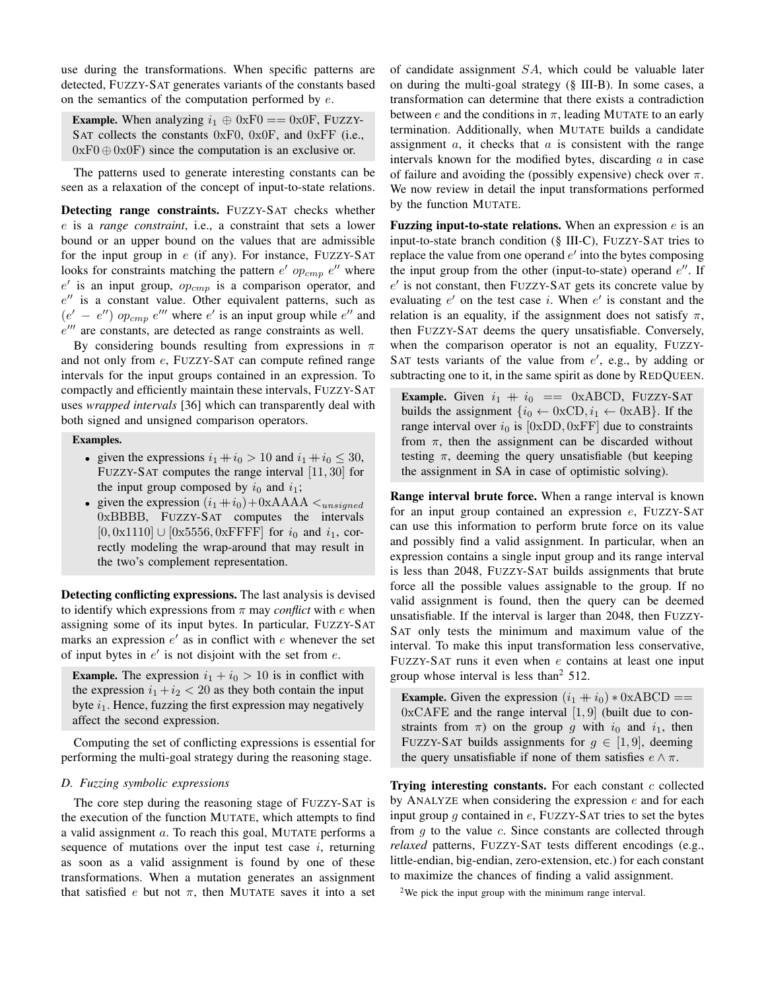use during the transformations. When specific patterns are detected, FUZZY-SAT generates variants of the constants based on the semantics of the computation performed by e.

**Example.** When analyzing  $i_1 \oplus 0 \times 0 = 0 \times 0$  F, Fuzzy-SAT collects the constants 0xF0, 0x0F, and 0xFF (i.e.,  $0xF0 \oplus 0x0F$  since the computation is an exclusive or.

The patterns used to generate interesting constants can be seen as a relaxation of the concept of input-to-state relations.

Detecting range constraints. FUZZY-SAT checks whether e is a *range constraint*, i.e., a constraint that sets a lower bound or an upper bound on the values that are admissible for the input group in  $e$  (if any). For instance, FUZZY-SAT looks for constraints matching the pattern  $e'$  op<sub>cmp</sub>  $e''$  where  $e'$  is an input group,  $op_{cmp}$  is a comparison operator, and  $e^{\prime\prime}$  is a constant value. Other equivalent patterns, such as  $(e' - e'')$  op<sub>cmp</sub>  $e'''$  where  $e'$  is an input group while  $e''$  and  $e^{\prime\prime\prime}$  are constants, are detected as range constraints as well.

By considering bounds resulting from expressions in  $\pi$ and not only from e, FUZZY-SAT can compute refined range intervals for the input groups contained in an expression. To compactly and efficiently maintain these intervals, FUZZY-SAT uses *wrapped intervals* [\[36\]](#page-11-16) which can transparently deal with both signed and unsigned comparison operators.

# Examples.

- given the expressions  $i_1+i_0 > 10$  and  $i_1+i_0 \leq 30$ , FUZZY-SAT computes the range interval [11, 30] for the input group composed by  $i_0$  and  $i_1$ ;
- given the expression  $(i_1+i_0)+0xAAAA \leq_{unsigned}$ 0xBBBB, FUZZY-SAT computes the intervals  $[0, 0x1110] \cup [0x5556, 0x$ FFFF] for  $i_0$  and  $i_1$ , correctly modeling the wrap-around that may result in the two's complement representation.

Detecting conflicting expressions. The last analysis is devised to identify which expressions from  $\pi$  may *conflict* with e when assigning some of its input bytes. In particular, FUZZY-SAT marks an expression  $e'$  as in conflict with  $e$  whenever the set of input bytes in  $e'$  is not disjoint with the set from  $e$ .

**Example.** The expression  $i_1 + i_0 > 10$  is in conflict with the expression  $i_1 + i_2 < 20$  as they both contain the input byte  $i_1$ . Hence, fuzzing the first expression may negatively affect the second expression.

Computing the set of conflicting expressions is essential for performing the multi-goal strategy during the reasoning stage.

#### <span id="page-5-0"></span>*D. Fuzzing symbolic expressions*

The core step during the reasoning stage of FUZZY-SAT is the execution of the function MUTATE, which attempts to find a valid assignment a. To reach this goal, MUTATE performs a sequence of mutations over the input test case  $i$ , returning as soon as a valid assignment is found by one of these transformations. When a mutation generates an assignment that satisfied e but not  $\pi$ , then MUTATE saves it into a set of candidate assignment SA, which could be valuable later on during the multi-goal strategy (§ [III-B\)](#page-3-2). In some cases, a transformation can determine that there exists a contradiction between  $e$  and the conditions in  $\pi$ , leading MUTATE to an early termination. Additionally, when MUTATE builds a candidate assignment  $a$ , it checks that  $a$  is consistent with the range intervals known for the modified bytes, discarding  $\alpha$  in case of failure and avoiding the (possibly expensive) check over  $\pi$ . We now review in detail the input transformations performed by the function MUTATE.

Fuzzing input-to-state relations. When an expression  $e$  is an input-to-state branch condition (§ [III-C\)](#page-4-0), FUZZY-SAT tries to replace the value from one operand  $e'$  into the bytes composing the input group from the other (input-to-state) operand  $e''$ . If  $e'$  is not constant, then FUZZY-SAT gets its concrete value by evaluating  $e'$  on the test case i. When  $e'$  is constant and the relation is an equality, if the assignment does not satisfy  $\pi$ , then FUZZY-SAT deems the query unsatisfiable. Conversely, when the comparison operator is not an equality, FUZZY-SAT tests variants of the value from  $e'$ , e.g., by adding or subtracting one to it, in the same spirit as done by REDQUEEN.

**Example.** Given  $i_1$  +  $i_0$  == 0xABCD, FUZZY-SAT builds the assignment  $\{i_0 \leftarrow 0 \times CD, i_1 \leftarrow 0 \times AB\}$ . If the range interval over  $i_0$  is [0xDD, 0xFF] due to constraints from  $\pi$ , then the assignment can be discarded without testing  $\pi$ , deeming the query unsatisfiable (but keeping the assignment in SA in case of optimistic solving).

Range interval brute force. When a range interval is known for an input group contained an expression  $e$ , FUZZY-SAT can use this information to perform brute force on its value and possibly find a valid assignment. In particular, when an expression contains a single input group and its range interval is less than 2048, FUZZY-SAT builds assignments that brute force all the possible values assignable to the group. If no valid assignment is found, then the query can be deemed unsatisfiable. If the interval is larger than 2048, then FUZZY-SAT only tests the minimum and maximum value of the interval. To make this input transformation less conservative, FUZZY-SAT runs it even when e contains at least one input group whose interval is less than<sup>[2](#page-0-1)</sup> 512.

**Example.** Given the expression  $(i_1 + i_0) * 0 \times ABCD ==$  $0xCAFE$  and the range interval  $[1, 9]$  (built due to constraints from  $\pi$ ) on the group g with  $i_0$  and  $i_1$ , then FUZZY-SAT builds assignments for  $g \in [1, 9]$ , deeming the query unsatisfiable if none of them satisfies  $e \wedge \pi$ .

Trying interesting constants. For each constant  $c$  collected by ANALYZE when considering the expression  $e$  and for each input group q contained in  $e$ , FUZZY-SAT tries to set the bytes from  $q$  to the value  $c$ . Since constants are collected through *relaxed* patterns, FUZZY-SAT tests different encodings (e.g., little-endian, big-endian, zero-extension, etc.) for each constant to maximize the chances of finding a valid assignment.

<sup>2</sup>We pick the input group with the minimum range interval.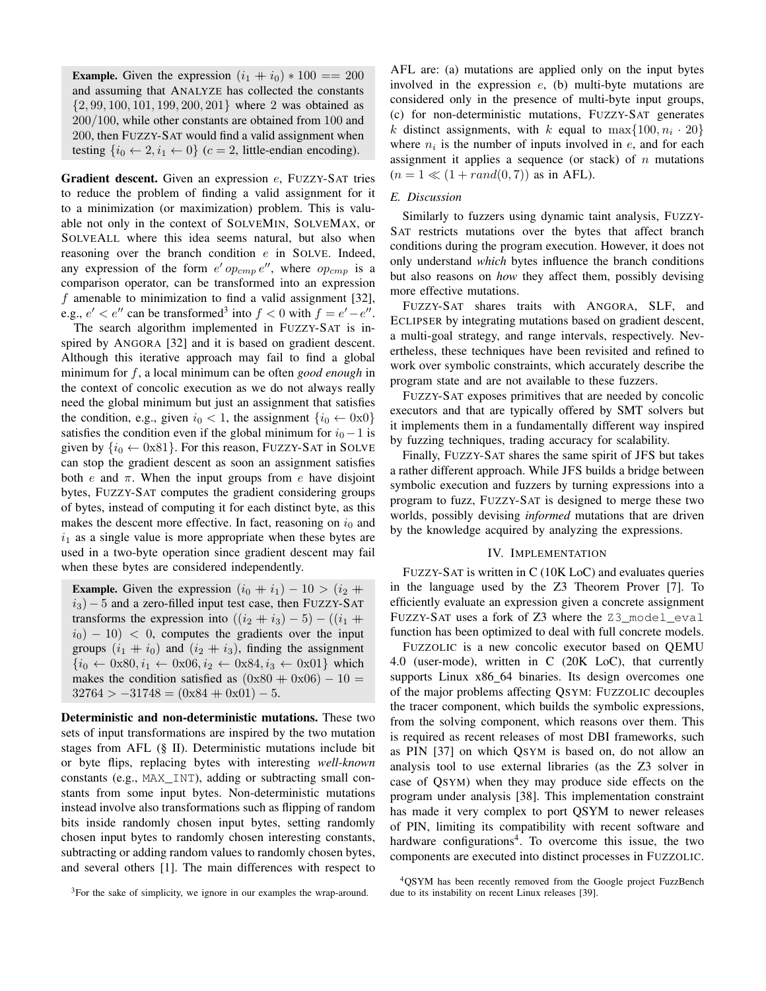**Example.** Given the expression  $(i_1 + i_0) * 100 == 200$ and assuming that ANALYZE has collected the constants {2, 99, 100, 101, 199, 200, 201} where 2 was obtained as 200/100, while other constants are obtained from 100 and 200, then FUZZY-SAT would find a valid assignment when testing  $\{i_0 \leftarrow 2, i_1 \leftarrow 0\}$  ( $c = 2$ , little-endian encoding).

Gradient descent. Given an expression e, FUZZY-SAT tries to reduce the problem of finding a valid assignment for it to a minimization (or maximization) problem. This is valuable not only in the context of SOLVEMIN, SOLVEMAX, or SOLVEALL where this idea seems natural, but also when reasoning over the branch condition  $e$  in SOLVE. Indeed, any expression of the form  $e'$  op<sub>cmp</sub> e'', where  $op_{cmp}$  is a comparison operator, can be transformed into an expression f amenable to minimization to find a valid assignment [\[32\]](#page-11-12), e.g.,  $e' < e''$  can be transformed<sup>[3](#page-0-1)</sup> into  $f < 0$  with  $f = e' - e''$ .

The search algorithm implemented in FUZZY-SAT is inspired by ANGORA [\[32\]](#page-11-12) and it is based on gradient descent. Although this iterative approach may fail to find a global minimum for f, a local minimum can be often *good enough* in the context of concolic execution as we do not always really need the global minimum but just an assignment that satisfies the condition, e.g., given  $i_0 < 1$ , the assignment  $\{i_0 \leftarrow 0 \times 0\}$ satisfies the condition even if the global minimum for  $i_0-1$  is given by  $\{i_0 \leftarrow 0x81\}$ . For this reason, FUZZY-SAT in SOLVE can stop the gradient descent as soon an assignment satisfies both  $e$  and  $\pi$ . When the input groups from  $e$  have disjoint bytes, FUZZY-SAT computes the gradient considering groups of bytes, instead of computing it for each distinct byte, as this makes the descent more effective. In fact, reasoning on  $i_0$  and  $i_1$  as a single value is more appropriate when these bytes are used in a two-byte operation since gradient descent may fail when these bytes are considered independently.

**Example.** Given the expression  $(i_0 + i_1) - 10 > (i_2 + \cdots + i_n)$  $i_3$ ) – 5 and a zero-filled input test case, then FUZZY-SAT transforms the expression into  $((i_2 + i_3) - 5) - ((i_1 +$  $i_0$ ) − 10) < 0, computes the gradients over the input groups  $(i_1 + i_0)$  and  $(i_2 + i_3)$ , finding the assignment  ${i_0 \leftarrow 0x80, i_1 \leftarrow 0x06, i_2 \leftarrow 0x84, i_3 \leftarrow 0x01}$  which makes the condition satisfied as  $(0x80 + 0x06) - 10 =$  $32764 > -31748 = (0x84 + 0x01) - 5.$ 

Deterministic and non-deterministic mutations. These two sets of input transformations are inspired by the two mutation stages from AFL (§ [II\)](#page-0-0). Deterministic mutations include bit or byte flips, replacing bytes with interesting *well-known* constants (e.g., MAX\_INT), adding or subtracting small constants from some input bytes. Non-deterministic mutations instead involve also transformations such as flipping of random bits inside randomly chosen input bytes, setting randomly chosen input bytes to randomly chosen interesting constants, subtracting or adding random values to randomly chosen bytes, and several others [\[1\]](#page-10-0). The main differences with respect to

AFL are: (a) mutations are applied only on the input bytes involved in the expression  $e$ , (b) multi-byte mutations are considered only in the presence of multi-byte input groups, (c) for non-deterministic mutations, FUZZY-SAT generates k distinct assignments, with k equal to  $\max\{100, n_i \cdot 20\}$ where  $n_i$  is the number of inputs involved in  $e$ , and for each assignment it applies a sequence (or stack) of  $n$  mutations  $(n = 1 \ll (1 + rand(0, 7))$  as in AFL).

#### *E. Discussion*

Similarly to fuzzers using dynamic taint analysis, FUZZY-SAT restricts mutations over the bytes that affect branch conditions during the program execution. However, it does not only understand *which* bytes influence the branch conditions but also reasons on *how* they affect them, possibly devising more effective mutations.

FUZZY-SAT shares traits with ANGORA, SLF, and ECLIPSER by integrating mutations based on gradient descent, a multi-goal strategy, and range intervals, respectively. Nevertheless, these techniques have been revisited and refined to work over symbolic constraints, which accurately describe the program state and are not available to these fuzzers.

FUZZY-SAT exposes primitives that are needed by concolic executors and that are typically offered by SMT solvers but it implements them in a fundamentally different way inspired by fuzzing techniques, trading accuracy for scalability.

Finally, FUZZY-SAT shares the same spirit of JFS but takes a rather different approach. While JFS builds a bridge between symbolic execution and fuzzers by turning expressions into a program to fuzz, FUZZY-SAT is designed to merge these two worlds, possibly devising *informed* mutations that are driven by the knowledge acquired by analyzing the expressions.

#### IV. IMPLEMENTATION

FUZZY-SAT is written in C (10K LoC) and evaluates queries in the language used by the Z3 Theorem Prover [\[7\]](#page-10-6). To efficiently evaluate an expression given a concrete assignment FUZZY-SAT uses a fork of Z3 where the Z3 model eval function has been optimized to deal with full concrete models.

FUZZOLIC is a new concolic executor based on QEMU 4.0 (user-mode), written in C (20K LoC), that currently supports Linux x86 64 binaries. Its design overcomes one of the major problems affecting QSYM: FUZZOLIC decouples the tracer component, which builds the symbolic expressions, from the solving component, which reasons over them. This is required as recent releases of most DBI frameworks, such as PIN [\[37\]](#page-11-17) on which QSYM is based on, do not allow an analysis tool to use external libraries (as the Z3 solver in case of QSYM) when they may produce side effects on the program under analysis [\[38\]](#page-11-18). This implementation constraint has made it very complex to port QSYM to newer releases of PIN, limiting its compatibility with recent software and hardware configurations<sup>[4](#page-0-1)</sup>. To overcome this issue, the two components are executed into distinct processes in FUZZOLIC.

<sup>&</sup>lt;sup>3</sup>For the sake of simplicity, we ignore in our examples the wrap-around.

<sup>4</sup>QSYM has been recently removed from the Google project FuzzBench due to its instability on recent Linux releases [\[39\]](#page-11-19).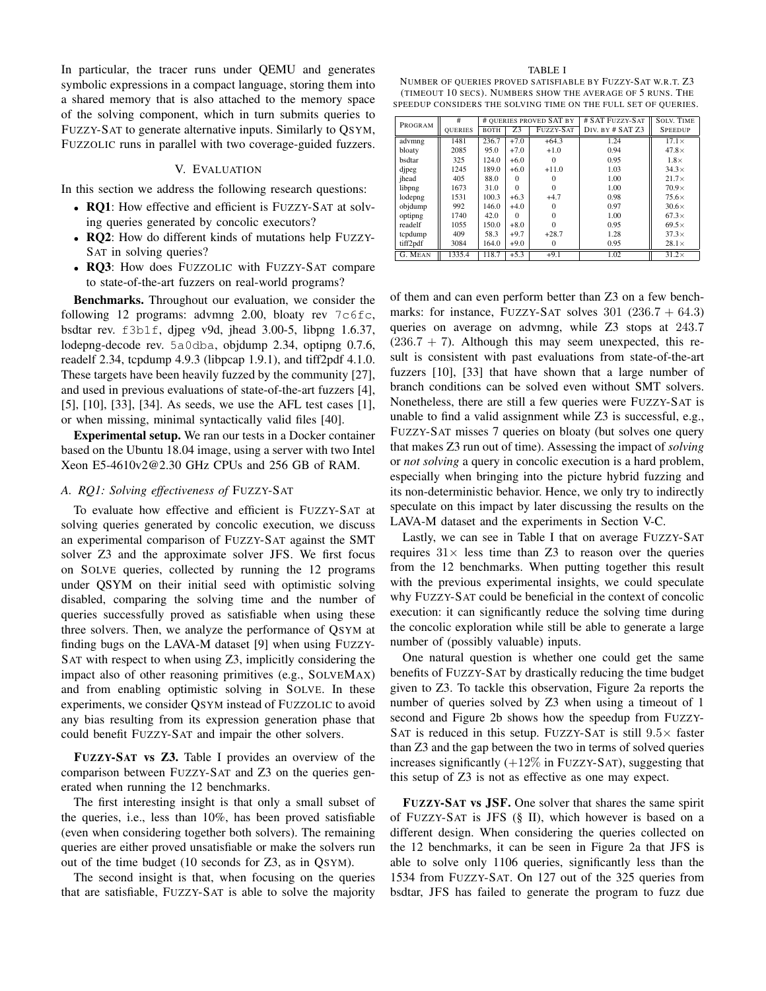In particular, the tracer runs under QEMU and generates symbolic expressions in a compact language, storing them into a shared memory that is also attached to the memory space of the solving component, which in turn submits queries to FUZZY-SAT to generate alternative inputs. Similarly to QSYM, FUZZOLIC runs in parallel with two coverage-guided fuzzers.

# V. EVALUATION

<span id="page-7-1"></span>In this section we address the following research questions:

- RQ1: How effective and efficient is FUZZY-SAT at solving queries generated by concolic executors?
- **RQ2**: How do different kinds of mutations help FUZZY-SAT in solving queries?
- RQ3: How does FUZZOLIC with FUZZY-SAT compare to state-of-the-art fuzzers on real-world programs?

Benchmarks. Throughout our evaluation, we consider the following 12 programs: advmng 2.00, bloaty rev 7c6fc, bsdtar rev. f3b1f, djpeg v9d, jhead 3.00-5, libpng 1.6.37, lodepng-decode rev. 5a0dba, objdump 2.34, optipng 0.7.6, readelf 2.34, tcpdump 4.9.3 (libpcap 1.9.1), and tiff2pdf 4.1.0. These targets have been heavily fuzzed by the community [\[27\]](#page-11-7), and used in previous evaluations of state-of-the-art fuzzers [\[4\]](#page-10-3), [\[5\]](#page-10-4), [\[10\]](#page-10-9), [\[33\]](#page-11-13), [\[34\]](#page-11-14). As seeds, we use the AFL test cases [\[1\]](#page-10-0), or when missing, minimal syntactically valid files [\[40\]](#page-11-20).

Experimental setup. We ran our tests in a Docker container based on the Ubuntu 18.04 image, using a server with two Intel Xeon E5-4610v2@2.30 GHz CPUs and 256 GB of RAM.

#### *A. RQ1: Solving effectiveness of* FUZZY-SAT

To evaluate how effective and efficient is FUZZY-SAT at solving queries generated by concolic execution, we discuss an experimental comparison of FUZZY-SAT against the SMT solver Z3 and the approximate solver JFS. We first focus on SOLVE queries, collected by running the 12 programs under QSYM on their initial seed with optimistic solving disabled, comparing the solving time and the number of queries successfully proved as satisfiable when using these three solvers. Then, we analyze the performance of QSYM at finding bugs on the LAVA-M dataset [\[9\]](#page-10-8) when using FUZZY-SAT with respect to when using Z3, implicitly considering the impact also of other reasoning primitives (e.g., SOLVEMAX) and from enabling optimistic solving in SOLVE. In these experiments, we consider QSYM instead of FUZZOLIC to avoid any bias resulting from its expression generation phase that could benefit FUZZY-SAT and impair the other solvers.

FUZZY-SAT vs Z3. Table [I](#page-7-0) provides an overview of the comparison between FUZZY-SAT and Z3 on the queries generated when running the 12 benchmarks.

The first interesting insight is that only a small subset of the queries, i.e., less than 10%, has been proved satisfiable (even when considering together both solvers). The remaining queries are either proved unsatisfiable or make the solvers run out of the time budget (10 seconds for Z3, as in QSYM).

The second insight is that, when focusing on the queries that are satisfiable, FUZZY-SAT is able to solve the majority

TABLE I

<span id="page-7-0"></span>NUMBER OF QUERIES PROVED SATISFIABLE BY FUZZY-SAT W.R.T. Z3 (TIMEOUT 10 SECS). NUMBERS SHOW THE AVERAGE OF 5 RUNS. THE SPEEDUP CONSIDERS THE SOLVING TIME ON THE FULL SET OF QUERIES.

| PROGRAM  | #              | # QUERIES PROVED SAT BY |          |           | # SAT FUZZY-SAT  | <b>SOLV. TIME</b> |
|----------|----------------|-------------------------|----------|-----------|------------------|-------------------|
|          | <b>OUERIES</b> | <b>BOTH</b>             | Z3       | FUZZY-SAT | DIV. BY # SAT Z3 | <b>SPEEDUP</b>    |
| advmng   | 1481           | 236.7                   | $+7.0$   | $+64.3$   | 1.24             | $17.1\times$      |
| bloaty   | 2085           | 95.0                    | $+7.0$   | $+1.0$    | 0.94             | $47.8\times$      |
| bsdtar   | 325            | 124.0                   | $+6.0$   |           | 0.95             | $1.8\times$       |
| dipeg    | 1245           | 189.0                   | $+6.0$   | $+11.0$   | 1.03             | $34.3\times$      |
| jhead    | 405            | 88.0                    | $\Omega$ | 0         | 1.00             | $21.7\times$      |
| libpng   | 1673           | 31.0                    | $\Omega$ |           | 1.00             | $70.9\times$      |
| lodepng  | 1531           | 100.3                   | $+6.3$   | $+4.7$    | 0.98             | $75.6\times$      |
| objdump  | 992            | 146.0                   | $+4.0$   | $\Omega$  | 0.97             | $30.6\times$      |
| optipng  | 1740           | 42.0                    | $\Omega$ | $\Omega$  | 1.00             | $67.3\times$      |
| readelf  | 1055           | 150.0                   | $+8.0$   |           | 0.95             | $69.5\times$      |
| tcpdump  | 409            | 58.3                    | $+9.7$   | $+28.7$   | 1.28             | $37.3\times$      |
| tiff2pdf | 3084           | 164.0                   | $+9.0$   | $\Omega$  | 0.95             | $28.1\times$      |
| G. MEAN  | 1335.4         | 118.7                   | $+5.3$   | $+9.1$    | 1.02             | $31.2\times$      |

of them and can even perform better than Z3 on a few benchmarks: for instance, FUZZY-SAT solves  $301$  (236.7 + 64.3) queries on average on advmng, while Z3 stops at 243.7  $(236.7 + 7)$ . Although this may seem unexpected, this result is consistent with past evaluations from state-of-the-art fuzzers [\[10\]](#page-10-9), [\[33\]](#page-11-13) that have shown that a large number of branch conditions can be solved even without SMT solvers. Nonetheless, there are still a few queries were FUZZY-SAT is unable to find a valid assignment while Z3 is successful, e.g., FUZZY-SAT misses 7 queries on bloaty (but solves one query that makes Z3 run out of time). Assessing the impact of *solving* or *not solving* a query in concolic execution is a hard problem, especially when bringing into the picture hybrid fuzzing and its non-deterministic behavior. Hence, we only try to indirectly speculate on this impact by later discussing the results on the LAVA-M dataset and the experiments in Section [V-C.](#page-8-0)

Lastly, we can see in Table [I](#page-7-0) that on average FUZZY-SAT requires  $31 \times$  less time than Z3 to reason over the queries from the 12 benchmarks. When putting together this result with the previous experimental insights, we could speculate why FUZZY-SAT could be beneficial in the context of concolic execution: it can significantly reduce the solving time during the concolic exploration while still be able to generate a large number of (possibly valuable) inputs.

One natural question is whether one could get the same benefits of FUZZY-SAT by drastically reducing the time budget given to Z3. To tackle this observation, Figure [2a](#page-8-1) reports the number of queries solved by Z3 when using a timeout of 1 second and Figure [2b](#page-8-1) shows how the speedup from FUZZY-SAT is reduced in this setup. FUZZY-SAT is still  $9.5\times$  faster than Z3 and the gap between the two in terms of solved queries increases significantly  $(+12\%$  in FUZZY-SAT), suggesting that this setup of Z3 is not as effective as one may expect.

FUZZY-SAT vs JSF. One solver that shares the same spirit of FUZZY-SAT is JFS (§ [II\)](#page-0-0), which however is based on a different design. When considering the queries collected on the 12 benchmarks, it can be seen in Figure [2a](#page-8-1) that JFS is able to solve only 1106 queries, significantly less than the 1534 from FUZZY-SAT. On 127 out of the 325 queries from bsdtar, JFS has failed to generate the program to fuzz due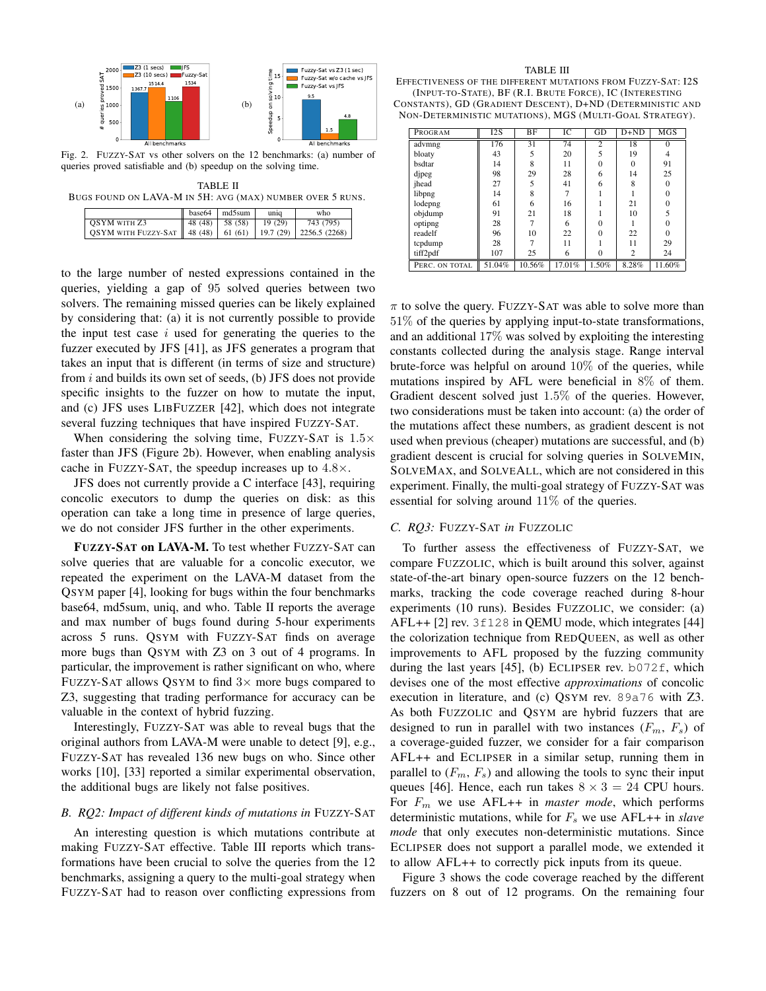

<span id="page-8-1"></span>Fig. 2. FUZZY-SAT vs other solvers on the 12 benchmarks: (a) number of queries proved satisfiable and (b) speedup on the solving time.

<span id="page-8-2"></span>TABLE II BUGS FOUND ON LAVA-M IN 5H: AVG (MAX) NUMBER OVER 5 RUNS.

|                                                                      | base64 | l md5sum                                     | unıq | who       |
|----------------------------------------------------------------------|--------|----------------------------------------------|------|-----------|
| OSYM WITH Z3                                                         |        | $\mid$ 48 (48) $\mid$ 58 (58) $\mid$ 19 (29) |      | 743 (795) |
| QSYM WITH FUZZY-SAT    48 (48)   61 (61)   19.7 (29)   2256.5 (2268) |        |                                              |      |           |

to the large number of nested expressions contained in the queries, yielding a gap of 95 solved queries between two solvers. The remaining missed queries can be likely explained by considering that: (a) it is not currently possible to provide the input test case  $i$  used for generating the queries to the fuzzer executed by JFS [\[41\]](#page-11-21), as JFS generates a program that takes an input that is different (in terms of size and structure) from  $i$  and builds its own set of seeds, (b) JFS does not provide specific insights to the fuzzer on how to mutate the input, and (c) JFS uses LIBFUZZER [\[42\]](#page-11-22), which does not integrate several fuzzing techniques that have inspired FUZZY-SAT.

When considering the solving time, FUZZY-SAT is  $1.5\times$ faster than JFS (Figure [2b](#page-8-1)). However, when enabling analysis cache in FUZZY-SAT, the speedup increases up to  $4.8\times$ .

JFS does not currently provide a C interface [\[43\]](#page-11-23), requiring concolic executors to dump the queries on disk: as this operation can take a long time in presence of large queries, we do not consider JFS further in the other experiments.

FUZZY-SAT on LAVA-M. To test whether FUZZY-SAT can solve queries that are valuable for a concolic executor, we repeated the experiment on the LAVA-M dataset from the QSYM paper [\[4\]](#page-10-3), looking for bugs within the four benchmarks base64, md5sum, uniq, and who. Table [II](#page-8-2) reports the average and max number of bugs found during 5-hour experiments across 5 runs. QSYM with FUZZY-SAT finds on average more bugs than QSYM with Z3 on 3 out of 4 programs. In particular, the improvement is rather significant on who, where FUZZY-SAT allows QSYM to find  $3\times$  more bugs compared to Z3, suggesting that trading performance for accuracy can be valuable in the context of hybrid fuzzing.

Interestingly, FUZZY-SAT was able to reveal bugs that the original authors from LAVA-M were unable to detect [\[9\]](#page-10-8), e.g., FUZZY-SAT has revealed 136 new bugs on who. Since other works [\[10\]](#page-10-9), [\[33\]](#page-11-13) reported a similar experimental observation, the additional bugs are likely not false positives.

# *B. RQ2: Impact of different kinds of mutations in* FUZZY-SAT

An interesting question is which mutations contribute at making FUZZY-SAT effective. Table [III](#page-8-3) reports which transformations have been crucial to solve the queries from the 12 benchmarks, assigning a query to the multi-goal strategy when FUZZY-SAT had to reason over conflicting expressions from

#### TABLE III

<span id="page-8-3"></span>EFFECTIVENESS OF THE DIFFERENT MUTATIONS FROM FUZZY-SAT: I2S (INPUT-TO-STATE), BF (R.I. BRUTE FORCE), IC (INTERESTING CONSTANTS), GD (GRADIENT DESCENT), D+ND (DETERMINISTIC AND NON-DETERMINISTIC MUTATIONS), MGS (MULTI-GOAL STRATEGY).

| PROGRAM        | I2S    | BF     | IC     | GD             | $D+ND$         | MGS      |
|----------------|--------|--------|--------|----------------|----------------|----------|
| advmng         | 176    | 31     | 74     | $\overline{2}$ | 18             | $\theta$ |
| bloaty         | 43     | 5      | 20     | 5              | 19             | 4        |
| bsdtar         | 14     | 8      | 11     | $\theta$       | $\Omega$       | 91       |
| dipeg          | 98     | 29     | 28     | 6              | 14             | 25       |
| jhead          | 27     | 5      | 41     | 6              | 8              | $\theta$ |
| libpng         | 14     | 8      |        |                |                | $\theta$ |
| lodepng        | 61     | 6      | 16     |                | 21             | $\Omega$ |
| objdump        | 91     | 21     | 18     |                | 10             | 5        |
| optipng        | 28     |        | 6      | $\Omega$       |                | $\Omega$ |
| readelf        | 96     | 10     | 22     | $\theta$       | 22             | $\theta$ |
| tcpdump        | 28     |        | 11     |                | 11             | 29       |
| tiff2pdf       | 107    | 25     | 6      | $\Omega$       | $\overline{c}$ | 24       |
| PERC. ON TOTAL | 51.04% | 10.56% | 17.01% | 1.50%          | 8.28%          | 11.60%   |

 $\pi$  to solve the query. FUZZY-SAT was able to solve more than 51% of the queries by applying input-to-state transformations, and an additional 17% was solved by exploiting the interesting constants collected during the analysis stage. Range interval brute-force was helpful on around  $10\%$  of the queries, while mutations inspired by AFL were beneficial in 8% of them. Gradient descent solved just 1.5% of the queries. However, two considerations must be taken into account: (a) the order of the mutations affect these numbers, as gradient descent is not used when previous (cheaper) mutations are successful, and (b) gradient descent is crucial for solving queries in SOLVEMIN, SOLVEMAX, and SOLVEALL, which are not considered in this experiment. Finally, the multi-goal strategy of FUZZY-SAT was essential for solving around 11% of the queries.

# <span id="page-8-0"></span>*C. RQ3:* FUZZY-SAT *in* FUZZOLIC

To further assess the effectiveness of FUZZY-SAT, we compare FUZZOLIC, which is built around this solver, against state-of-the-art binary open-source fuzzers on the 12 benchmarks, tracking the code coverage reached during 8-hour experiments (10 runs). Besides FUZZOLIC, we consider: (a) AFL++ [\[2\]](#page-10-1) rev. 3f128 in QEMU mode, which integrates [\[44\]](#page-11-24) the colorization technique from REDQUEEN, as well as other improvements to AFL proposed by the fuzzing community during the last years [\[45\]](#page-11-25), (b) ECLIPSER rev. b072f, which devises one of the most effective *approximations* of concolic execution in literature, and (c) QSYM rev. 89a76 with Z3. As both FUZZOLIC and QSYM are hybrid fuzzers that are designed to run in parallel with two instances  $(F_m, F_s)$  of a coverage-guided fuzzer, we consider for a fair comparison AFL++ and ECLIPSER in a similar setup, running them in parallel to  $(F_m, F_s)$  and allowing the tools to sync their input queues [\[46\]](#page-11-26). Hence, each run takes  $8 \times 3 = 24$  CPU hours. For  $F_m$  we use AFL++ in *master mode*, which performs deterministic mutations, while for  $F_s$  we use  $AFL++$  in *slave mode* that only executes non-deterministic mutations. Since ECLIPSER does not support a parallel mode, we extended it to allow AFL++ to correctly pick inputs from its queue.

Figure [3](#page-9-0) shows the code coverage reached by the different fuzzers on 8 out of 12 programs. On the remaining four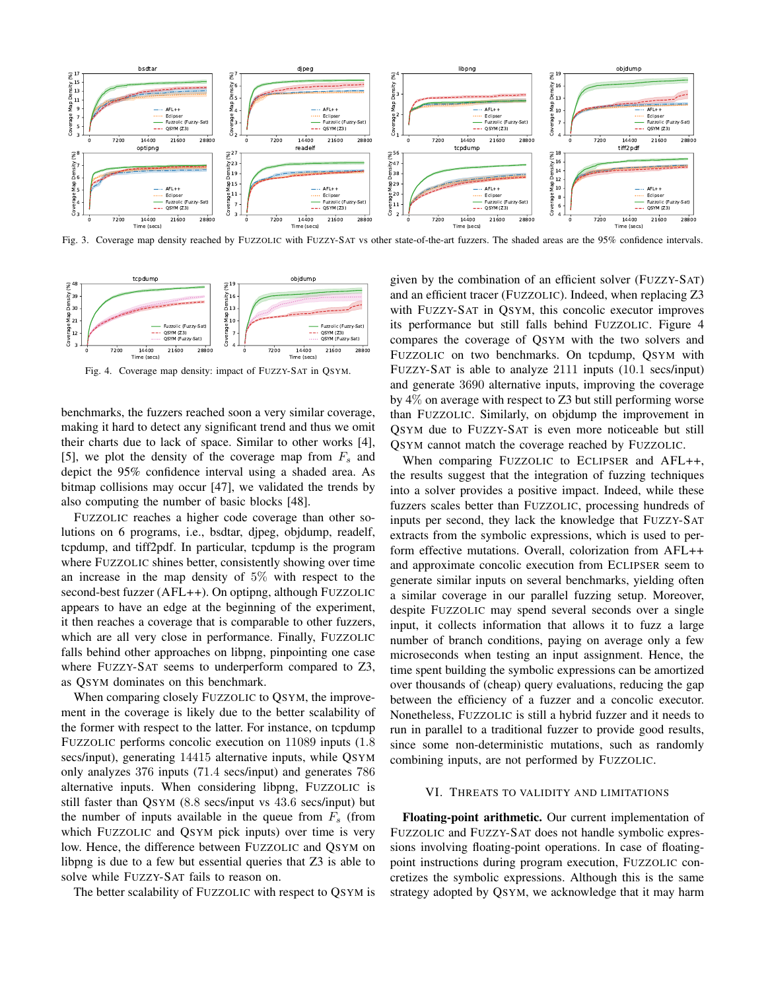

<span id="page-9-0"></span>Fig. 3. Coverage map density reached by FUZZOLIC with FUZZY-SAT vs other state-of-the-art fuzzers. The shaded areas are the 95% confidence intervals.



<span id="page-9-1"></span>Fig. 4. Coverage map density: impact of FUZZY-SAT in QSYM.

benchmarks, the fuzzers reached soon a very similar coverage, making it hard to detect any significant trend and thus we omit their charts due to lack of space. Similar to other works [\[4\]](#page-10-3), [\[5\]](#page-10-4), we plot the density of the coverage map from  $F_s$  and depict the 95% confidence interval using a shaded area. As bitmap collisions may occur [\[47\]](#page-11-27), we validated the trends by also computing the number of basic blocks [\[48\]](#page-11-28).

FUZZOLIC reaches a higher code coverage than other solutions on 6 programs, i.e., bsdtar, djpeg, objdump, readelf, tcpdump, and tiff2pdf. In particular, tcpdump is the program where FUZZOLIC shines better, consistently showing over time an increase in the map density of 5% with respect to the second-best fuzzer (AFL++). On optipng, although FUZZOLIC appears to have an edge at the beginning of the experiment, it then reaches a coverage that is comparable to other fuzzers, which are all very close in performance. Finally, FUZZOLIC falls behind other approaches on libpng, pinpointing one case where FUZZY-SAT seems to underperform compared to Z3, as QSYM dominates on this benchmark.

When comparing closely FUZZOLIC to QSYM, the improvement in the coverage is likely due to the better scalability of the former with respect to the latter. For instance, on tcpdump FUZZOLIC performs concolic execution on 11089 inputs (1.8 secs/input), generating 14415 alternative inputs, while QSYM only analyzes 376 inputs (71.4 secs/input) and generates 786 alternative inputs. When considering libpng, FUZZOLIC is still faster than QSYM (8.8 secs/input vs 43.6 secs/input) but the number of inputs available in the queue from  $F_s$  (from which FUZZOLIC and QSYM pick inputs) over time is very low. Hence, the difference between FUZZOLIC and QSYM on libpng is due to a few but essential queries that Z3 is able to solve while FUZZY-SAT fails to reason on.

The better scalability of FUZZOLIC with respect to QSYM is

given by the combination of an efficient solver (FUZZY-SAT) and an efficient tracer (FUZZOLIC). Indeed, when replacing Z3 with FUZZY-SAT in QSYM, this concolic executor improves its performance but still falls behind FUZZOLIC. Figure [4](#page-9-1) compares the coverage of QSYM with the two solvers and FUZZOLIC on two benchmarks. On tcpdump, QSYM with FUZZY-SAT is able to analyze 2111 inputs (10.1 secs/input) and generate 3690 alternative inputs, improving the coverage by 4% on average with respect to Z3 but still performing worse than FUZZOLIC. Similarly, on objdump the improvement in QSYM due to FUZZY-SAT is even more noticeable but still QSYM cannot match the coverage reached by FUZZOLIC.

When comparing FUZZOLIC to ECLIPSER and AFL++, the results suggest that the integration of fuzzing techniques into a solver provides a positive impact. Indeed, while these fuzzers scales better than FUZZOLIC, processing hundreds of inputs per second, they lack the knowledge that FUZZY-SAT extracts from the symbolic expressions, which is used to perform effective mutations. Overall, colorization from AFL++ and approximate concolic execution from ECLIPSER seem to generate similar inputs on several benchmarks, yielding often a similar coverage in our parallel fuzzing setup. Moreover, despite FUZZOLIC may spend several seconds over a single input, it collects information that allows it to fuzz a large number of branch conditions, paying on average only a few microseconds when testing an input assignment. Hence, the time spent building the symbolic expressions can be amortized over thousands of (cheap) query evaluations, reducing the gap between the efficiency of a fuzzer and a concolic executor. Nonetheless, FUZZOLIC is still a hybrid fuzzer and it needs to run in parallel to a traditional fuzzer to provide good results, since some non-deterministic mutations, such as randomly combining inputs, are not performed by FUZZOLIC.

# VI. THREATS TO VALIDITY AND LIMITATIONS

Floating-point arithmetic. Our current implementation of FUZZOLIC and FUZZY-SAT does not handle symbolic expressions involving floating-point operations. In case of floatingpoint instructions during program execution, FUZZOLIC concretizes the symbolic expressions. Although this is the same strategy adopted by QSYM, we acknowledge that it may harm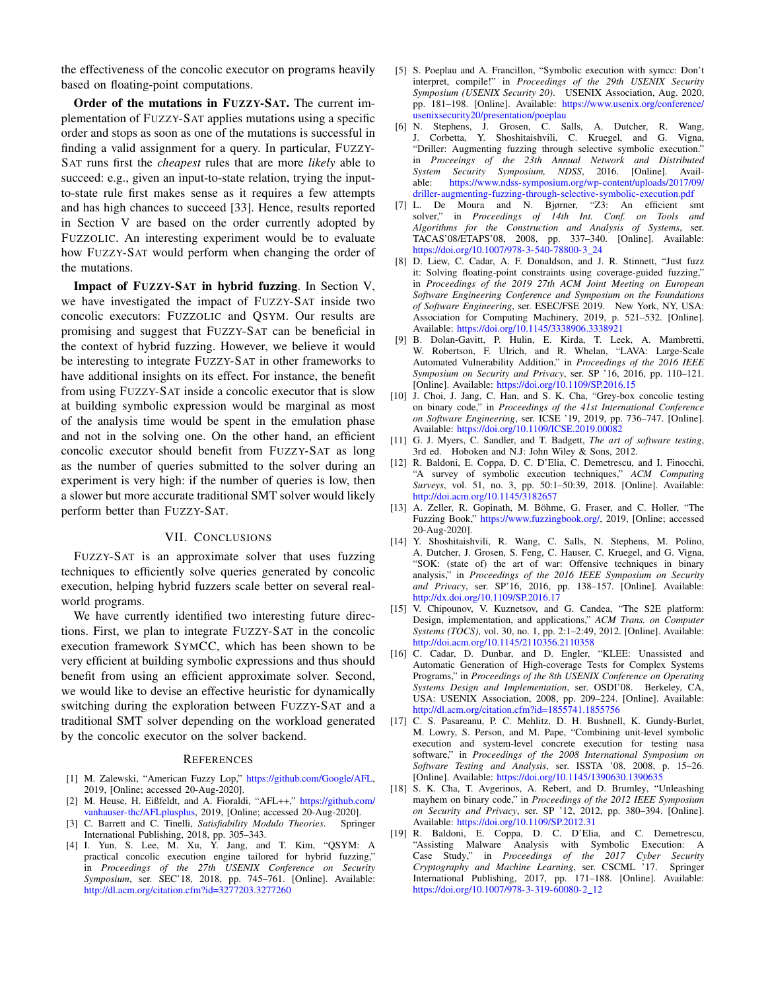the effectiveness of the concolic executor on programs heavily based on floating-point computations.

Order of the mutations in FUZZY-SAT. The current implementation of FUZZY-SAT applies mutations using a specific order and stops as soon as one of the mutations is successful in finding a valid assignment for a query. In particular, FUZZY-SAT runs first the *cheapest* rules that are more *likely* able to succeed: e.g., given an input-to-state relation, trying the inputto-state rule first makes sense as it requires a few attempts and has high chances to succeed [\[33\]](#page-11-13). Hence, results reported in Section [V](#page-7-1) are based on the order currently adopted by FUZZOLIC. An interesting experiment would be to evaluate how FUZZY-SAT would perform when changing the order of the mutations.

Impact of FUZZY-SAT in hybrid fuzzing. In Section [V,](#page-7-1) we have investigated the impact of FUZZY-SAT inside two concolic executors: FUZZOLIC and QSYM. Our results are promising and suggest that FUZZY-SAT can be beneficial in the context of hybrid fuzzing. However, we believe it would be interesting to integrate FUZZY-SAT in other frameworks to have additional insights on its effect. For instance, the benefit from using FUZZY-SAT inside a concolic executor that is slow at building symbolic expression would be marginal as most of the analysis time would be spent in the emulation phase and not in the solving one. On the other hand, an efficient concolic executor should benefit from FUZZY-SAT as long as the number of queries submitted to the solver during an experiment is very high: if the number of queries is low, then a slower but more accurate traditional SMT solver would likely perform better than FUZZY-SAT.

# VII. CONCLUSIONS

FUZZY-SAT is an approximate solver that uses fuzzing techniques to efficiently solve queries generated by concolic execution, helping hybrid fuzzers scale better on several realworld programs.

We have currently identified two interesting future directions. First, we plan to integrate FUZZY-SAT in the concolic execution framework SYMCC, which has been shown to be very efficient at building symbolic expressions and thus should benefit from using an efficient approximate solver. Second, we would like to devise an effective heuristic for dynamically switching during the exploration between FUZZY-SAT and a traditional SMT solver depending on the workload generated by the concolic executor on the solver backend.

#### **REFERENCES**

- <span id="page-10-0"></span>[1] M. Zalewski, "American Fuzzy Lop," [https://github.com/Google/AFL,](https://github.com/Google/AFL) 2019, [Online; accessed 20-Aug-2020].
- <span id="page-10-1"></span>[2] M. Heuse, H. Eißfeldt, and A. Fioraldi, "AFL++," [https://github.com/](https://github.com/vanhauser-thc/AFLplusplus) [vanhauser-thc/AFLplusplus,](https://github.com/vanhauser-thc/AFLplusplus) 2019, [Online; accessed 20-Aug-2020].
- <span id="page-10-2"></span>[3] C. Barrett and C. Tinelli, *Satisfiability Modulo Theories*. Springer International Publishing, 2018, pp. 305–343.
- <span id="page-10-3"></span>[4] I. Yun, S. Lee, M. Xu, Y. Jang, and T. Kim, "QSYM: A practical concolic execution engine tailored for hybrid fuzzing," in *Proceedings of the 27th USENIX Conference on Security Symposium*, ser. SEC'18, 2018, pp. 745–761. [Online]. Available: <http://dl.acm.org/citation.cfm?id=3277203.3277260>
- <span id="page-10-4"></span>[5] S. Poeplau and A. Francillon, "Symbolic execution with symcc: Don't interpret, compile!" in *Proceedings of the 29th USENIX Security Symposium (USENIX Security 20)*. USENIX Association, Aug. 2020, pp. 181–198. [Online]. Available: [https://www.usenix.org/conference/](https://www.usenix.org/conference/usenixsecurity20/presentation/poeplau) [usenixsecurity20/presentation/poeplau](https://www.usenix.org/conference/usenixsecurity20/presentation/poeplau)
- <span id="page-10-5"></span>[6] N. Stephens, J. Grosen, C. Salls, A. Dutcher, R. Wang, J. Corbetta, Y. Shoshitaishvili, C. Kruegel, and G. Vigna, "Driller: Augmenting fuzzing through selective symbolic execution." in *Proceeings of the 23th Annual Network and Distributed System Security Symposium, NDSS*, 2016. [Online]. Available: [https://www.ndss-symposium.org/wp-content/uploads/2017/09/](https://www.ndss-symposium.org/wp-content/uploads/2017/09/driller-augmenting-fuzzing-through-selective-symbolic-execution.pdf) [driller-augmenting-fuzzing-through-selective-symbolic-execution.pdf](https://www.ndss-symposium.org/wp-content/uploads/2017/09/driller-augmenting-fuzzing-through-selective-symbolic-execution.pdf)
- <span id="page-10-6"></span>[7] L. De Moura and N. Bjørner, "Z3: An efficient smt solver," in *Proceedings of 14th Int. Conf. on Tools and Algorithms for the Construction and Analysis of Systems*, ser. TACAS'08/ETAPS'08, 2008, pp. 337–340. [Online]. Available: [https://doi.org/10.1007/978-3-540-78800-3](https://doi.org/10.1007/978-3-540-78800-3_24)\_24
- <span id="page-10-7"></span>[8] D. Liew, C. Cadar, A. F. Donaldson, and J. R. Stinnett, "Just fuzz it: Solving floating-point constraints using coverage-guided fuzzing," in *Proceedings of the 2019 27th ACM Joint Meeting on European Software Engineering Conference and Symposium on the Foundations of Software Engineering*, ser. ESEC/FSE 2019. New York, NY, USA: Association for Computing Machinery, 2019, p. 521–532. [Online]. Available: <https://doi.org/10.1145/3338906.3338921>
- <span id="page-10-8"></span>[9] B. Dolan-Gavitt, P. Hulin, E. Kirda, T. Leek, A. Mambretti, W. Robertson, F. Ulrich, and R. Whelan, "LAVA: Large-Scale Automated Vulnerability Addition," in *Proceedings of the 2016 IEEE Symposium on Security and Privacy*, ser. SP '16, 2016, pp. 110–121. [Online]. Available: <https://doi.org/10.1109/SP.2016.15>
- <span id="page-10-9"></span>[10] J. Choi, J. Jang, C. Han, and S. K. Cha, "Grey-box concolic testing on binary code," in *Proceedings of the 41st International Conference on Software Engineering*, ser. ICSE '19, 2019, pp. 736–747. [Online]. Available: <https://doi.org/10.1109/ICSE.2019.00082>
- <span id="page-10-10"></span>[11] G. J. Myers, C. Sandler, and T. Badgett, *The art of software testing*, 3rd ed. Hoboken and N.J: John Wiley & Sons, 2012.
- <span id="page-10-11"></span>[12] R. Baldoni, E. Coppa, D. C. D'Elia, C. Demetrescu, and I. Finocchi, "A survey of symbolic execution techniques," *ACM Computing Surveys*, vol. 51, no. 3, pp. 50:1–50:39, 2018. [Online]. Available: <http://doi.acm.org/10.1145/3182657>
- <span id="page-10-12"></span>[13] A. Zeller, R. Gopinath, M. Böhme, G. Fraser, and C. Holler, "The Fuzzing Book," [https://www.fuzzingbook.org/,](https://www.fuzzingbook.org/) 2019, [Online; accessed 20-Aug-2020].
- <span id="page-10-13"></span>[14] Y. Shoshitaishvili, R. Wang, C. Salls, N. Stephens, M. Polino, A. Dutcher, J. Grosen, S. Feng, C. Hauser, C. Kruegel, and G. Vigna, "SOK: (state of) the art of war: Offensive techniques in binary analysis," in *Proceedings of the 2016 IEEE Symposium on Security and Privacy*, ser. SP'16, 2016, pp. 138–157. [Online]. Available: <http://dx.doi.org/10.1109/SP.2016.17>
- <span id="page-10-14"></span>[15] V. Chipounov, V. Kuznetsov, and G. Candea, "The S2E platform: Design, implementation, and applications," *ACM Trans. on Computer Systems (TOCS)*, vol. 30, no. 1, pp. 2:1–2:49, 2012. [Online]. Available: <http://doi.acm.org/10.1145/2110356.2110358>
- <span id="page-10-15"></span>[16] C. Cadar, D. Dunbar, and D. Engler, "KLEE: Unassisted and Automatic Generation of High-coverage Tests for Complex Systems Programs," in *Proceedings of the 8th USENIX Conference on Operating Systems Design and Implementation*, ser. OSDI'08. Berkeley, CA, USA: USENIX Association, 2008, pp. 209–224. [Online]. Available: <http://dl.acm.org/citation.cfm?id=1855741.1855756>
- <span id="page-10-16"></span>[17] C. S. Pasareanu, P. C. Mehlitz, D. H. Bushnell, K. Gundy-Burlet, M. Lowry, S. Person, and M. Pape, "Combining unit-level symbolic execution and system-level concrete execution for testing nasa software," in *Proceedings of the 2008 International Symposium on Software Testing and Analysis*, ser. ISSTA '08, 2008, p. 15–26. [Online]. Available: <https://doi.org/10.1145/1390630.1390635>
- <span id="page-10-17"></span>[18] S. K. Cha, T. Avgerinos, A. Rebert, and D. Brumley, "Unleashing mayhem on binary code," in *Proceedings of the 2012 IEEE Symposium on Security and Privacy*, ser. SP '12, 2012, pp. 380–394. [Online]. Available: <https://doi.org/10.1109/SP.2012.31>
- [19] R. Baldoni, E. Coppa, D. C. D'Elia, and C. Demetrescu, "Assisting Malware Analysis with Symbolic Execution: A Case Study," in *Proceedings of the 2017 Cyber Security Cryptography and Machine Learning*, ser. CSCML '17. Springer International Publishing, 2017, pp. 171–188. [Online]. Available: [https://doi.org/10.1007/978-3-319-60080-2](https://doi.org/10.1007/978-3-319-60080-2_12)\_12